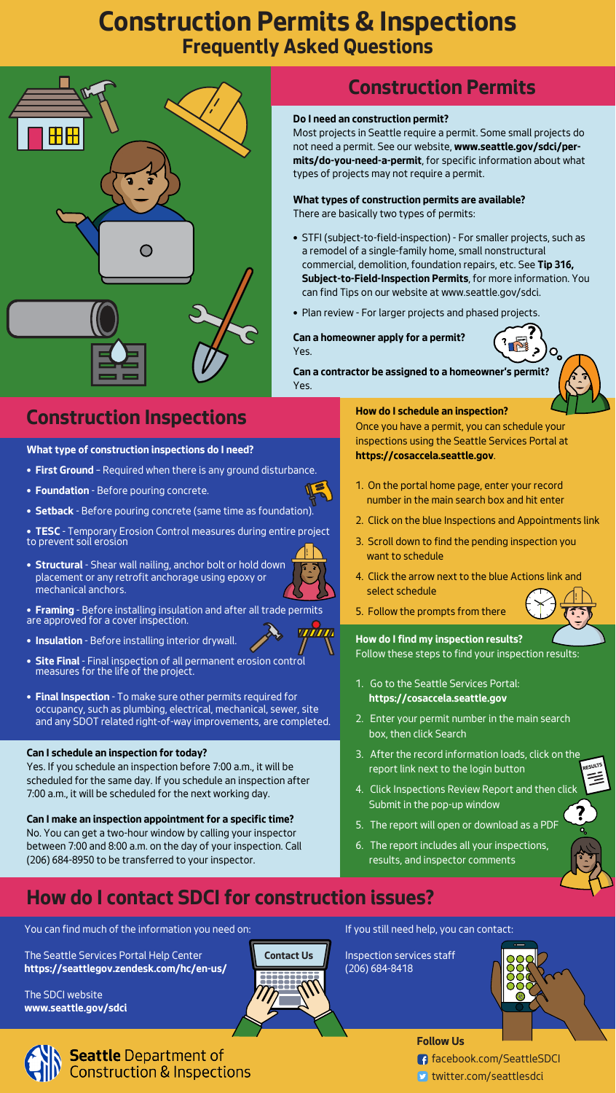# **Construction Permits & Inspections Frequently Asked Questions**





#### facebook.com/SeattleSDCI

**D** twitter.com/seattlesdci

## **Do I need an construction permit?**

Most projects in Seattle require a permit. Some small projects do not need a permit. See our website, **www.seattle.gov/sdci/permits/do-you-need-a-permit**, for specific information about what types of projects may not require a permit.

#### **How do I schedule an inspection?**

Once you have a permit, you can schedule your inspections using the Seattle Services Portal at **https://cosaccela.seattle.gov**.

1. On the portal home page, enter your record number in the main search box and hit enter

- 2. Click on the blue Inspections and Appointments link
- 3. Scroll down to find the pending inspection you want to schedule
- 4. Click the arrow next to the blue Actions link and select schedule
- 5. Follow the prompts from there

# **How do I contact SDCI for construction issues?**

You can find much of the information you need on:

The Seattle Services Portal Help Center **https://seattlegov.zendesk.com/hc/en-us/**

The SDCI website **www.seattle.gov/sdci** If you still need help, you can contact:

Inspection services staff



RESULTS

 $\tilde{=}$ 





# **Construction Permits**

## **What types of construction permits are available?** There are basically two types of permits:

- STFI (subject-to-field-inspection) For smaller projects, such as a remodel of a single-family home, small nonstructural commercial, demolition, foundation repairs, etc. See **Tip 316, Subject-to-Field-Inspection Permits**, for more information. You can find Tips on our website at www.seattle.gov/sdci.
- Plan review For larger projects and phased projects.

## **Can a homeowner apply for a permit?** Yes.

**Can a contractor be assigned to a homeowner's permit?** Yes.

# **Construction Inspections**

**What type of construction inspections do I need?**

- **First Ground** Required when there is any ground disturbance.
- **Foundation** Before pouring concrete.
- **Setback** Before pouring concrete (same time as foundation).

• **TESC** - Temporary Erosion Control measures during entire project to prevent soil erosion

- **Structural** Shear wall nailing, anchor bolt or hold down placement or any retrofit anchorage using epoxy or mechanical anchors.
- **Framing** Before installing insulation and after all trade permits are approved for a cover inspection.
- **Insulation** Before installing interior drywall.
- **Site Final** Final inspection of all permanent erosion control measures for the life of the project.
- **Final Inspection** To make sure other permits required for occupancy, such as plumbing, electrical, mechanical, sewer, site and any SDOT related right-of-way improvements, are completed.

# (206) 684-8418 **Contact Us**

## **Can I schedule an inspection for today?**

Yes. If you schedule an inspection before 7:00 a.m., it will be scheduled for the same day. If you schedule an inspection after 7:00 a.m., it will be scheduled for the next working day.

## **Can I make an inspection appointment for a specific time?**

No. You can get a two-hour window by calling your inspector between 7:00 and 8:00 a.m. on the day of your inspection. Call (206) 684-8950 to be transferred to your inspector.

## **How do I find my inspection results?**

Follow these steps to find your inspection results:

- 1. Go to the Seattle Services Portal:  **https://cosaccela.seattle.gov**
- 2. Enter your permit number in the main search box, then click Search
- 3. After the record information loads, click on the report link next to the login button
- 4. Click Inspections Review Report and then click Submit in the pop-up window
- 5. The report will open or download as a PDF
- 6. The report includes all your inspections, results, and inspector comments